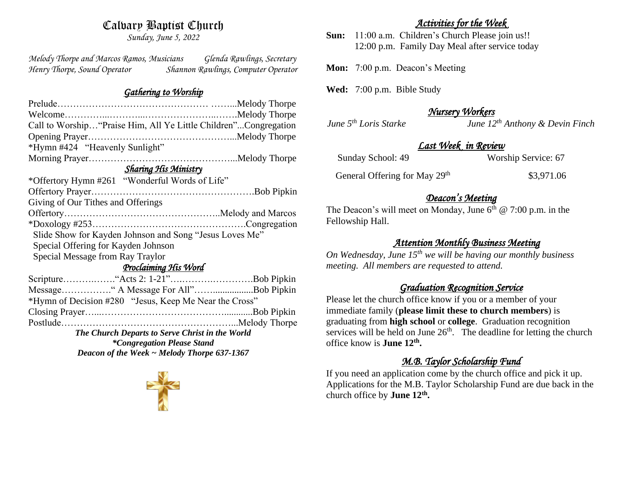## Calvary Baptist Church

*Sunday, June 5, 2022*

*Melody Thorpe and Marcos Ramos, Musicians Glenda Rawlings, Secretary Henry Thorpe, Sound Operator Shannon Rawlings, Computer Operator* 

#### *Gathering to Worship*

| Call to Worship "Praise Him, All Ye Little Children"Congregation |  |
|------------------------------------------------------------------|--|
|                                                                  |  |
| *Hymn #424 "Heavenly Sunlight"                                   |  |
|                                                                  |  |
| <b>Sharing His Ministry</b>                                      |  |
| *Offertory Hymn #261 "Wonderful Words of Life"                   |  |
|                                                                  |  |
| Giving of Our Tithes and Offerings                               |  |
|                                                                  |  |
|                                                                  |  |
| Slide Show for Kayden Johnson and Song "Jesus Loves Me"          |  |
| Special Offering for Kayden Johnson                              |  |
| Special Message from Ray Traylor                                 |  |
| <u>Proclaiming His Word</u>                                      |  |
|                                                                  |  |
| Message" A Message For All"Bob Pipkin                            |  |
| *Hymn of Decision #280 "Jesus, Keep Me Near the Cross"           |  |
|                                                                  |  |
|                                                                  |  |
| The Church Departs to Serve Christ in the World                  |  |

*\*Congregation Please Stand Deacon of the Week ~ Melody Thorpe 637-1367*



#### *Activities for the Week*

**Sun:** 11:00 a.m. Children's Church Please join us!! 12:00 p.m. Family Day Meal after service today

**Mon:** 7:00 p.m. Deacon's Meeting

**Wed:** 7:00 p.m. Bible Study

## *Nursery Workers*

*June 5th Loris Starke June 12th Anthony & Devin Finch* 

#### *Last Week in Review*

General Offering for May 29<sup>th</sup> \$3,971.06

#### *Deacon's Meeting*

The Deacon's will meet on Monday, June  $6<sup>th</sup>$  @ 7:00 p.m. in the Fellowship Hall.

#### *Attention Monthly Business Meeting*

*On Wednesday, June 15th we will be having our monthly business meeting. All members are requested to attend.* 

#### *Graduation Recognition Service*

Please let the church office know if you or a member of your immediate family (**please limit these to church members**) is graduating from **high school** or **college**. Graduation recognition services will be held on June  $26<sup>th</sup>$ . The deadline for letting the church office know is **June 12th .**

## *M.B. Taylor Scholarship Fund*

If you need an application come by the church office and pick it up. Applications for the M.B. Taylor Scholarship Fund are due back in the church office by **June 12th .**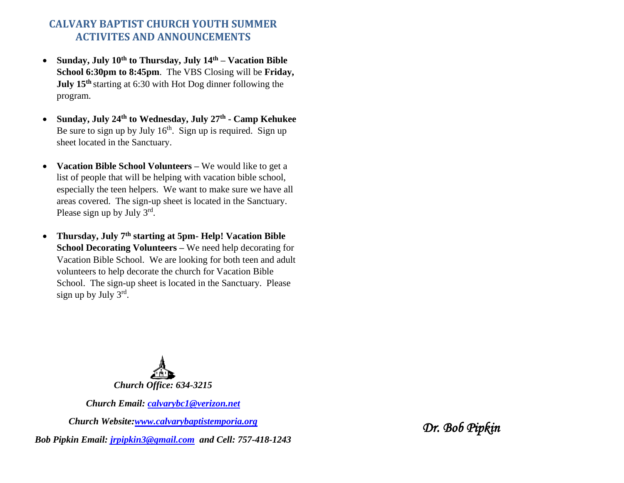#### **CALVARY BAPTIST CHURCH YOUTH SUMMER ACTIVITES AND ANNOUNCEMENTS**

- **Sunday, July 10th to Thursday, July 14th – Vacation Bible School 6:30pm to 8:45pm**. The VBS Closing will be **Friday, July 15th** starting at 6:30 with Hot Dog dinner following the program.
- **Sunday, July 24th to Wednesday, July 27th - Camp Kehukee** Be sure to sign up by July  $16<sup>th</sup>$ . Sign up is required. Sign up sheet located in the Sanctuary.
- **Vacation Bible School Volunteers –** We would like to get a list of people that will be helping with vacation bible school, especially the teen helpers. We want to make sure we have all areas covered. The sign-up sheet is located in the Sanctuary. Please sign up by July  $3^{rd}$ .
- **Thursday, July 7th starting at 5pm- Help! Vacation Bible School Decorating Volunteers –** We need help decorating for Vacation Bible School. We are looking for both teen and adult volunteers to help decorate the church for Vacation Bible School. The sign-up sheet is located in the Sanctuary. Please sign up by July 3<sup>rd</sup>.



*Church Email: [calvarybc1@verizon.net](mailto:cbcemporiaoffice@gmail.com)*

*Church Website[:www.calvarybaptistemporia.org](http://www.calvarybaptistemporia.org/)*

*Bob Pipkin Email: [jrpipkin3@gmail.com](mailto:jrpipkin3@gmail.com) and Cell: 757-418-1243*

*Dr. Bob Pipkin*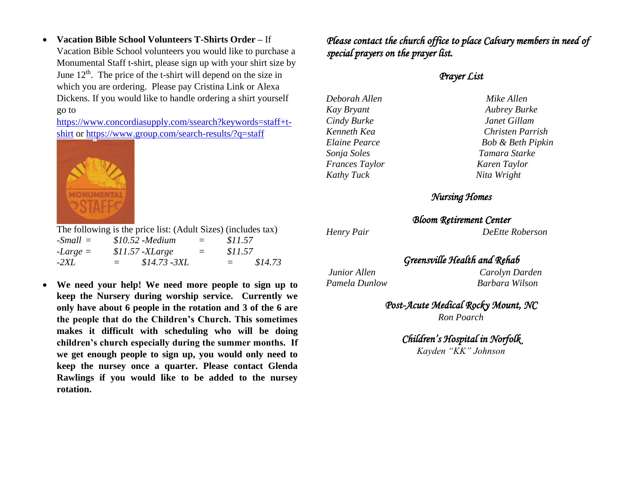• **Vacation Bible School Volunteers T-Shirts Order –** If Vacation Bible School volunteers you would like to purchase a Monumental Staff t-shirt, please sign up with your shirt size by June  $12<sup>th</sup>$ . The price of the t-shirt will depend on the size in which you are ordering. Please pay Cristina Link or Alexa Dickens. If you would like to handle ordering a shirt yourself go to

[https://www.concordiasupply.com/ssearch?keywords=staff+t](https://www.concordiasupply.com/ssearch?keywords=staff+t-shirt)[shirt](https://www.concordiasupply.com/ssearch?keywords=staff+t-shirt) or<https://www.group.com/search-results/?q=staff>



The following is the price list: (Adult Sizes) (includes tax) *-Small = \$10.52* **-***Medium = \$11.57 -Large = \$11.57* **-***XLarge = \$11.57 -2XL = \$14.73* **-***3XL = \$14.73*

• **We need your help! We need more people to sign up to keep the Nursery during worship service. Currently we only have about 6 people in the rotation and 3 of the 6 are the people that do the Children's Church. This sometimes makes it difficult with scheduling who will be doing children's church especially during the summer months. If we get enough people to sign up, you would only need to keep the nursey once a quarter. Please contact Glenda Rawlings if you would like to be added to the nursey rotation.** 

*Please contact the church office to place Calvary members in need of special prayers on the prayer list.*

#### *Prayer List*

*Deborah Allen Mike Allen Kay Bryant Aubrey Burke Cindy Burke Janet Gillam Sonja Soles Tamara Starke Frances Taylor Karen Taylor Kathy Tuck Nita Wright* 

# *Kenneth Kea Christen Parrish Elaine Pearce Bob & Beth Pipkin*

#### *Nursing Homes*

# *Bloom Retirement Center*

*Henry Pair DeEtte Roberson* 

## *Greensville Health and Rehab*

*Junior Allen Carolyn Darden Pamela Dunlow Barbara Wilson*

## *Post-Acute Medical Rocky Mount, NC*

*Ron Poarch*

*Children's Hospital in Norfolk Kayden "KK" Johnson*